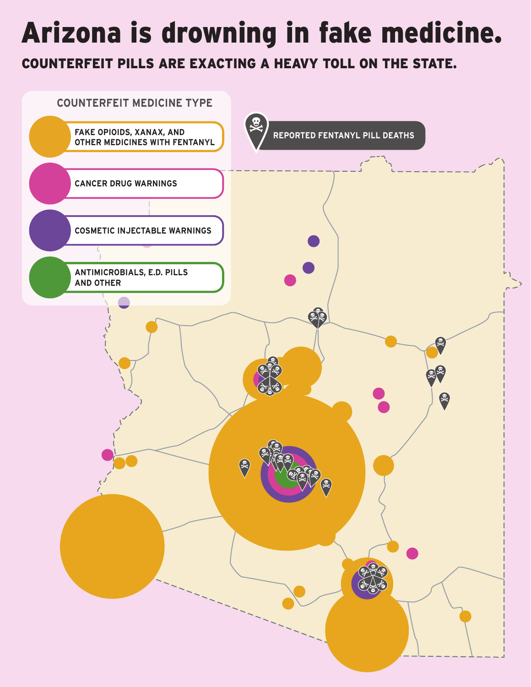# Arizona is drowning in fake medicine.

COUNTERFEIT PILLS ARE EXACTING A HEAVY TOLL ON THE STATE.

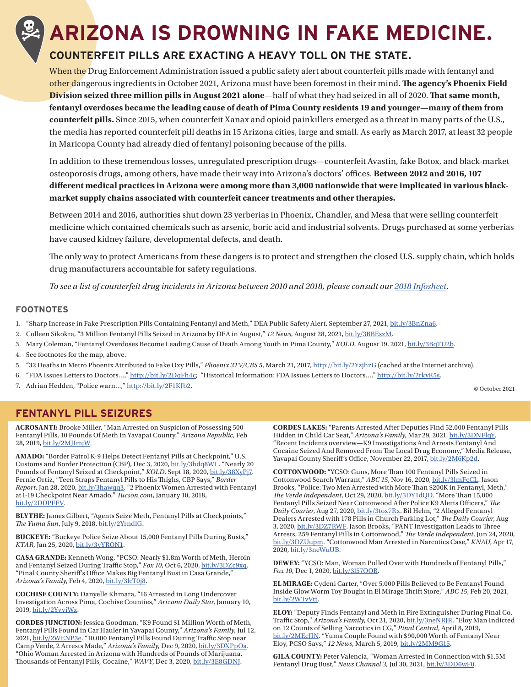# **ARIZONA IS DROWNING IN FAKE MEDICINE.**

### **COUNTERFEIT PILLS ARE EXACTING A HEAVY TOLL ON THE STATE.**

When the Drug Enforcement Administration issued a public safety alert about counterfeit pills made with fentanyl and other dangerous ingredients in October 2021, Arizona must have been foremost in their mind. **The agency's Phoenix Field Division seized three million pills in August 2021 alone**—half of what they had seized in all of 2020. **That same month**, **fentanyl overdoses became the leading cause of death of Pima County residents 19 and younger—many of them from counterfeit pills.** Since 2015, when counterfeit Xanax and opioid painkillers emerged as a threat in many parts of the U.S., the media has reported counterfeit pill deaths in 15 Arizona cities, large and small. As early as March 2017, at least 32 people in Maricopa County had already died of fentanyl poisoning because of the pills.

In addition to these tremendous losses, unregulated prescription drugs—counterfeit Avastin, fake Botox, and black-market osteoporosis drugs, among others, have made their way into Arizona's doctors' offices. **Between 2012 and 2016, 107** different medical practices in Arizona were among more than 3,000 nationwide that were implicated in various black**market supply chains associated with counterfeit cancer treatments and other therapies.**

Between 2014 and 2016, authorities shut down 23 yerberias in Phoenix, Chandler, and Mesa that were selling counterfeit medicine which contained chemicals such as arsenic, boric acid and industrial solvents. Drugs purchased at some yerberias have caused kidney failure, developmental defects, and death.

The only way to protect Americans from these dangers is to protect and strengthen the closed U.S. supply chain, which holds drug manufacturers accountable for safety regulations.

*To see a list of counterfeit drug incidents in Arizona between 2010 and 2018, please consult our 2018 Infosheet.*

#### **FOOTNOTES**

- 1. "Sharp Increase in Fake Prescription Pills Containing Fentanyl and Meth," DEA Public Safety Alert, September 27, 2021, bit.ly/3BnZna6.
- 2. Colleen Sikokra, "3 Million Fentanyl Pills Seized in Arizona by DEA in August," *12 News*, August 28, 2021, bit.ly/3BBEszM.
- 3. Mary Coleman, "Fentanyl Overdoses Become Leading Cause of Death Among Youth in Pima County," *KOLD*, August 19, 2021, bit.ly/3BqTU2b.
- 4. See footnotes for the map, above.
- 5. "32 Deaths in Metro Phoenix Attributed to Fake Oxy Pills," *Phoenix 3TV/CBS 5*, March 21, 2017, http://bit.ly/2YzjhzG (cached at the Internet archive).
- 6. "FDA Issues Letters to Doctors…," http://bit.ly/2DqFh4c; "Historical Information: FDA Issues Letters to Doctors…," http://bit.ly/2rkvR5s.
- 7. Adrian Hedden, "Police warn...," http://bit.ly/2F1KJb2.

© October 2021

#### **FENTANYL PILL SEIZURES**

**ACROSANTI:** Brooke Miller, "Man Arrested on Suspicion of Possessing 500 Fentanyl Pills, 10 Pounds Of Meth In Yavapai County," *Arizona Republic*, Feb 28, 2019, bit.ly/2MJImjW.

**AMADO:** "Border Patrol K-9 Helps Detect Fentanyl Pills at Checkpoint," U.S. Customs and Border Protection (CBP), Dec 3, 2020, bit.ly/3hdq8WL. "Nearly 20 Pounds of Fentanyl Seized at Checkpoint," *KOLD*, Sept 18, 2020, bit.ly/38XyPj7. Fernie Ortiz, "Teen Straps Fentanyl Pills to His Thighs, CBP Says," Border *Report*, Jan 28, 2020, bit.ly/3hawqq3. "2 Phoenix Women Arrested with Fentanyl at I-19 Checkpoint Near Amado," *Tucson.com*, January 10, 2018, bit.ly/2DDPFFV.

**BLYTHE:** James Gilbert, "Agents Seize Meth, Fentanyl Pills at Checkpoints," The Yuma Sun, July 9, 2018, bit.ly/2YrndlG.

**BUCKEYE:** "Buckeye Police Seize About 15,000 Fentanyl Pills During Busts," *KTAR*, Jan 25, 2020, bit.ly/3yYRQN1.

**CASA GRANDE:** Kenneth Wong, "PCSO: Nearly \$1.8m Worth of Meth, Heroin and Fentanyl Seized During Traffic Stop," *Fox 10*, Oct 6, 2020, bit.ly/3DZc9xq. "Pinal County Sheriff's Office Makes Big Fentanyl Bust in Casa Grande," *Arizona's Family*, Feb 4, 2020, bit.ly/3lcT0j8.

**COCHISE COUNTY:** Danyelle Khmara, "16 Arrested in Long Undercover Investigation Across Pima, Cochise Counties," *Arizona Daily Star*, January 10, 2019, bit.ly/2YvviWz.

**CORDES JUNCTION:** Jessica Goodman, "K9 Found \$1 Million Worth of Meth, Fentanyl Pills Found in Car Hauler in Yavapai County," *Arizona's Family*, Jul 12, 2021, bit.ly/2WENP3e. "10,000 Fentanyl Pills Found During Traffic Stop near Camp Verde, 2 Arrests Made," *Arizona's Family*, Dec 9, 2020, bit.ly/3DXPpOa. "Ohio Woman Arrested in Arizona with Hundreds of Pounds of Marijuana, Thousands of Fentanyl Pills, Cocaine," *WAVY*, Dec 3, 2020, bit.ly/3E8GDNJ.

**CORDES LAKES:** "Parents Arrested After Deputies Find 52,000 Fentanyl Pills Hidden in Child Car Seat," *Arizona's Family*, Mar 29, 2021, bit.ly/3DNFlqY. "Recent Incidents overview—K9 Investigations And Arrests Fentanyl And Cocaine Seized And Removed From The Local Drug Economy," Media Release, Yavapai County Sheriff's Office, November 22, 2017, bit.ly/2M6Kp2d.

**COTTONWOOD:** "YCSO: Guns, More Than 100 Fentanyl Pills Seized in Cottonwood Search Warrant," *ABC 15*, Nov 16, 2020, bit.ly/3lmFcCL. Jason Brooks, "Police: Two Men Arrested with More Than \$200K in Fentanyl, Meth," *The Verde Independent*, Oct 29, 2020, bit.ly/3DY1dQD. "More Than 15,000 Fentanyl Pills Seized Near Cottonwood After Police K9 Alerts Officers," The *Daily Courier*, Aug 27, 2020, bit.ly/3tox7Rx. Bil Helm, "2 Alleged Fentanyl Dealers Arrested with 178 Pills in Church Parking Lot," The Daily Courier, Aug 3, 2020, bit.ly/3DZ7RWF. Jason Brooks, "PANT Investigation Leads to Three Arrests, 259 Fentanyl Pills in Cottonwood," The Verde Independent, Jun 24, 2020, bit.ly/3DZUupm. "Cottonwood Man Arrested in Narcotics Case," *KNAU*, Apr 17, 2020, bit.ly/3neWuUB.

**DEWEY:** "YCSO: Man, Woman Pulled Over with Hundreds of Fentanyl Pills," *Fox 10*, Dec 1, 2020, bit.ly/3l57OQB.

**EL MIRAGE:** Cydeni Carter, "Over 5,000 Pills Believed to Be Fentanyl Found Inside Glow Worm Toy Bought in El Mirage Thrift Store," *ABC 15*, Feb 20, 2021, bit.ly/2WTvVtt.

**ELOY:** "Deputy Finds Fentanyl and Meth in Fire Extinguisher During Pinal Co. Traffic Stop," Arizona's Family, Oct 21, 2020, bit.ly/3neNRJR. "Eloy Man Indicted on 12 Counts of Selling Narcotics in CG," *Pinal Central*, April 8, 2019, bit.ly/2MEcJIN. "Yuma Couple Found with \$90,000 Worth of Fentanyl Near Eloy, PCSO Says," *12 News*, March 5, 2019, bit.ly/2MM9G15.

**GILA COUNTY:** Peter Valencia, "Woman Arrested in Connection with \$1.5M Fentanyl Drug Bust," *News Channel 3*, Jul 30, 2021, bit.ly/3DD6wF0.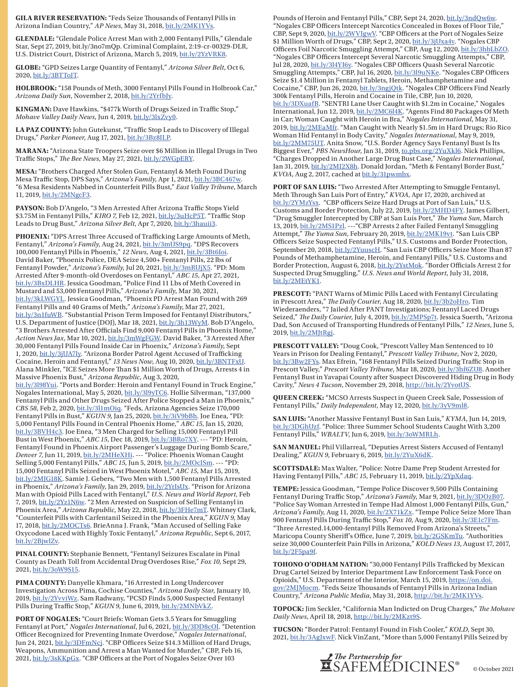**GILA RIVER RESERVATION: "Feds Seize Thousands of Fentanyl Pills in** Arizona Indian Country," *AP News*, May 31, 2018, bit.ly/2MK1YVs.

**GLENDALE:** "Glendale Police Arrest Man with 2,000 Fentanyl Pills," Glendale Star, Sept 27, 2019, bit.ly/3no7mQp. Criminal Complaint, 2:19-cr-00329-DLR, U.S. District Court, District of Arizona, March 5, 2019, bit.ly/2YzVRK8.

**GLOBE:** "GPD Seizes Large Quantity of Fentanyl," *Arizona Silver Belt*, Oct 6, 2020, bit.ly/3BTToJT.

**HOLBROOK:** "158 Pounds of Meth, 3000 Fentanyl Pills Found in Holbrook Car," *Arizona Daily Sun*, November 2, 2018, bit.ly/2YrfbJy.

KINGMAN: Dave Hawkins, "\$477k Worth of Drugs Seized in Traffic Stop," *Mohave Valley Daily News*, Jun 4, 2019, bit.ly/3lxZvy0.

LA PAZ COUNTY: John Gutekunst, "Traffic Stop Leads to Discovery of Illegal Drugs," *Parker Pioneer*, Aug 17, 2021, bit.ly/3Bz8ILP.

**MARANA:** "Arizona State Troopers Seize over \$6 Million in Illegal Drugs in Two Traffic Stops," The Bee News, May 27, 2021, bit.ly/2WGpERY.

**MESA:** "Brothers Charged After Stolen Gun, Fentanyl & Meth Found During Mesa Traffic Stop, DPS Says," Arizona's Family, Apr 1, 2021, bit.ly/3BC467w. "6 Mesa Residents Nabbed in Counterfeit Pills Bust," *East Valley Tribune*, March 11, 2019, bit.ly/2MNgcF3.

PAYSON: Bob D'Angelo, "3 Men Arrested After Arizona Traffic Stops Yield \$3.75M in Fentanyl Pills," *KIRO 7*, Feb 12, 2021, bit.ly/3uHcP5T. "Traffic Stop Leads to Drug Bust," *Arizona Silver Belt*, Apr 7, 2020, bit.ly/3hauii3.

PHOENIX: "DPS Arrest Three Accused of Trafficking Large Amounts of Meth, Fentanyl," *Arizona's Family*, Aug 24, 2021, bit.ly/3mUS9pq. "DPS Recovers 100,000 Fentanyl Pills in Phoenix," *12 News*, Aug 4, 2021, bit.ly/3Bt6Ioi. David Baker, "Phoenix Police, DEA Seize 4,500+ Fentanyl Pills, 22 lbs of Fentanyl Powder," *Arizona's Family*, Jul 20, 2021, bit.ly/3mRUjX5. "PD: Mom Arrested After 9-month-old Overdoses on Fentanyl," *ABC 15*, Apr 27, 2021, bit.ly/3BxDLHR. Jessica Goodman, "Police Find 11 Lbs of Meth Covered in Mustard and 53,000 Fentanyl Pills," *Arizona's Family*, Mar 30, 2021, bit.ly/3kLWGYL. Jessica Goodman, "Phoenix PD Arrest Man Found with 269 Fentanyl Pills and 40 Grams of Meth," *Arizona's Family*, Mar 27, 2021, bit.ly/3n1fuWB. "Substantial Prison Term Imposed for Fentanyl Distributors," U.S. Department of Justice (DOJ), Mar 18, 2021, bit.ly/3h13WyM. Bob D'Angelo, "3 Brothers Arrested After Officials Find 9,000 Fentanyl Pills in Phoenix Home," *Action News Jax*, Mar 10, 2021, bit.ly/3mWgFGW. David Baker, "3 Arrested After 30,000 Fentanyl Pills Found Inside Car in Phoenix," *Arizona's Family*, Sept 1, 2020, bit.ly/3jUA7ly. "Arizona Border Patrol Agent Accused of Trafficking Cocaine, Heroin and Fentanyl," *13 News Now*, Aug 10, 2020, bit.ly/3BNTFxU. Alana Minkler, "ICE Seizes More Than \$1 Million Worth of Drugs, Arrests 4 in Massive Phoenix Bust," *Arizona Republic*, Aug 3, 2020,

bit.ly/3l98Yui. "Ports and Border: Heroin and Fentanyl Found in Truck Engine," Nogales International, May 5, 2020, bit.ly/3l9yTC6. Hollie Silverman, "137,000 Fentanyl Pills and Other Drugs Seized After Police Stopped a Man in Phoenix," *CBS 58*, Feb 2, 2020, bit.ly/3l1mOiq. "Feds, Arizona Agencies Seize 170,000 Fentanyl Pills in Bust," *KGUN 9*, Jan 25, 2020, bit.ly/3iV9bBh. Joe Enea, "PD: 5,000 Fentanyl Pills Found in Central Phoenix Home," *ABC 15*, Jan 15, 2020, bit.ly/3BVH4c3. Joe Enea, "3 Men Charged for Selling 15,000 Fentanyl Pill Bust in West Phoenix," *ABC 15*, Dec 18, 2019, bit.ly/3BRo7XY. --- "PD: Heroin, Fentanyl Found in Phoenix Airport Passenger's Luggage During Bomb Scare," *Denver 7*, Jun 11, 2019, bit.ly/2MHeXHi. --- "Police: Phoenix Woman Caught Selling 5,000 Fentanyl Pills," *ABC 15*, Jun 5, 2019, bit.ly/2MOcISm. --- "PD: 15,000 Fentanyl Pills Seized in West Phoenix Motel," *ABC 15*, Mar 15, 2019, bit.ly/2MJG18K. Samie J. Gebers, "Two Men with 1,500 Fentanyl Pills Arrested in Phoenix," *Arizona's Family*, Jan 29, 2019, bit.ly/2YrIsUx. "Prison for Arizona Man with Opioid Pills Laced with Fentanyl," *U.S. News and World Report*, Feb 7, 2019, bit.ly/2Yz1N6w. "2 Men Arrested on Suspicion of Selling Fentanyl in Phoenix Area," Arizona Republic, May 22, 2018, bit.ly/3FHe7mT. Whitney Clark, "Counterfeit Pills with Carfentanil Seized in the Phoenix Area," *KGUN 9*, May 17, 2018, bit.ly/2MOCTs6. BrieAnna J. Frank, "Man Accused of Selling Fake Oxycodone Laced with Highly Toxic Fentanyl," *Arizona Republic*, Sept 6, 2017, bit.ly/2BjwlZv.

**PINAL COUNTY:** Stephanie Bennett, "Fentanyl Seizures Escalate in Pinal County as Death Toll from Accidental Drug Overdoses Rise," *Fox 10*, Sept 29, 2021, bit.ly/3oW9S15.

**PIMA COUNTY:** Danyelle Khmara, "16 Arrested in Long Undercover Investigation Across Pima, Cochise Counties," *Arizona Daily Star*, January 10, 2019, bit.ly/2YvviWz. Sam Radwany, "PCSD Finds 5,000 Suspected Fentanyl Pills During Traffic Stop," *KGUN 9*, June 6, 2019, bit.ly/2MNbVkZ.

**PORT OF NOGALES:** "Court Briefs: Woman Gets 3.5 Years for Smuggling Fentanyl at Port," *Nogales International*, Jul 6, 2021, bit.ly/3DD8cOI. "Detention Officer Recognized for Preventing Inmate Overdose," *Nogales International*, Jun 24, 2021, bit.ly/3DFmNcj. "CBP Officers Seize \$14.3 Million of Hard Drugs, Weapons, Ammunition and Arrest a Man Wanted for Murder," CBP, Feb 16, 2021, bit.ly/3sKKpGx. "CBP Officers at the Port of Nogales Seize Over 103

Pounds of Heroin and Fentanyl Pills," CBP, Sept 24, 2020, bit.ly/3ndQw6w. "Nogales CBP Officers Intercept Narcotics Concealed in Boxes of Floor Tile," CBP, Sept 9, 2020, bit.ly/2WVIgwV. "CBP Officers at the Port of Nogales Seize \$1 Million Worth of Drugs," CBP, Sept 2, 2020, bit.ly/3jUxa4v. "Nogales CBP Officers Foil Narcotic Smuggling Attempt," CBP, Aug 12, 2020, bit.ly/3hbLbZO. "Nogales CBP Officers Intercept Several Narcotic Smuggling Attempts," CBP, Jul 28, 2020, bit.ly/3l4YI6y. "Nogales CBP Officers Quash Several Narcotic Smuggling Attempts," CBP, Jul 16, 2020, <u>bit.ly/3l9uNKe</u>. "Nogales CBP Officers Seize \$1.4 Million in Fentanyl Tablets, Heroin, Methamphetamine and Cocaine," CBP, Jun 26, 2020, bit.ly/3ngjQtk. "Nogales CBP Officers Find Nearly 300k Fentanyl Pills, Heroin and Cocaine in Tile, CBP, Jun 10, 2020, bit.ly/3DXuafB. "SENTRI Lane User Caught with \$1.2m in Cocaine," Nogales International, Jun 12, 2019, bit.ly/2MC6l4K. "Agents Find 80 Packages Of Meth in Car; Woman Caught with Heroin in Bra," *Nogales International*, May 31, 2019, bit.ly/2MEaMfr. "Man Caught with Nearly \$1.5m in Hard Drugs; Rio Rico Woman Hid Fentanyl in Body Cavity," *Nogales International*, May 9, 2019, bit.ly/2MM75UT. Anita Snow, "U.S. Border Agency Says Fentanyl Bust Is Its Biggest Ever," *PBS NewsHour*, Jan 31, 2019, to.pbs.org/2YuXkl6. Nick Phillips, "Charges Dropped in Another Large Drug Bust Case," *Nogales International*, Jan 31, 2019, bit.ly/2MI2X8h. Donald Jordan, "Meth & Fentanyl Border Bust," *KVOA*, Aug 2, 2017, cached at bit.ly/31pwmbx.

**PORT OF SAN LUIS:** "Two Arrested After Attempting to Smuggle Fentanyl, Meth Through San Luis Port of Entry," *KVOA*, Apr 17, 2020, archived at bit.ly/2YMzYsx. "CBP officers Seize Hard Drugs at Port of San Luis," U.S. Customs and Border Protection, July 22, 2019, bit.ly/2MHD4FY. James Gilbert, "Drug Smuggler Intercepted by CBP at San Luis Port," The Yuma Sun, March 13, 2019, bit.ly/2MS1Pzl. ---"CBP Arrests 2 after Failed Fentanyl Smuggling Attempt," The Yuma Sun, February 20, 2019, bit.ly/2MK19vt. "San Luis CBP Officers Seize Suspected Fentanyl Pills," U.S. Customs and Border Protection, September 20, 2018, bit.ly/2YuuscH. "San Luis CBP Officers Seize More Than 87 Pounds of Methamphetamine, Heroin, and Fentanyl Pills," U.S. Customs and Border Protection, August 6, 2018, bit.ly/2YstMok. "Border Officials Arrest 2 for Suspected Drug Smuggling," *U.S. News and World Report*, July 31, 2018, bit.ly/2MEtYK1.

**PRESCOTT:** "PANT Warns of Mimic Pills Laced with Fentanyl Circulating in Prescott Area," *The Daily Courier*, Aug 18, 2020, *bit.ly/3b2oHro*. Tim Wiederaenders, "7 Jailed After PANT Investigations; Fentanyl Laced Drugs Seized," *The Daily Courier*, July 4, 2019, bit.ly/2MPSp7t. Jessica Suerth, "Arizona Dad, Son Accused of Transporting Hundreds of Fentanyl Pills," *12 News*, June 5, 2019, bit.ly/2MJtRgj.

**PRESCOTT VALLEY:** "Doug Cook, "Prescott Valley Man Sentenced to 10 Years in Prison for Dealing Fentanyl," *Prescott Valley Tribune*, Nov 2, 2020, bit.ly/3Bw2FYs. Max Efrein, "168 Fentanyl Pills Seized During Traffic Stop in Prescott Valley," *Prescott Valley Tribune*, Mar 18, 2020, bit.ly/3hf6ZU8. Another Fentanyl Bust in Yavapai County after Suspect Discovered Hiding Drug in Body Cavity," *News 4 Tucson*, November 29, 2018, http://bit.ly/2YvotUS.

**QUEEN CREEK:** "MCSO Arrests Suspect in Queen Creek Sale, Possession of Fentanyl Pills," *Daily Independent*, May 12, 2020, bit.ly/3yV9ml8.

**SAN LUIS:** "Another Massive Fentanyl Bust in San Luis," *KYMA*, Jun 14, 2019, bit.ly/3DGhUzf. "Police: Three Summer School Students Caught With 3,200 Fentanyl Pills," WBALTV, Jun 6, 2019, bit.ly/3oWMRLh.

**SAN MANUEL:** Phil Villarreal, "Deputies Arrest Sisters Accused of Fentanyl Dealing," KGUN 9, February 6, 2019, bit.ly/2YuX6dK.

**SCOTTSDALE:** Max Walter, "Police: Notre Dame Prep Student Arrested for Having Fentanyl Pills," *ABC 15*, February 11, 2019, bit.ly/2YpXdaq.

**TEMPE:** Jessica Goodman, "Tempe Police Discover 9,500 Pills Containing Fentanyl During Traffic Stop," Arizona's Family, Mar 9, 2021, bit.ly/3DOzB07. "Police Say Woman Arrested in Tempe Had Almost 1,000 Fentanyl Pills, Gun," Arizona's Family, Aug 11, 2020, bit.ly/2X71kZx. "Tempe Police Seize More Than 900 Fentanyl Pills During Traffic Stop," *Fox 10*, Aug 9, 2020, bit.ly/3E1c7Fm. "Three Arrested.14,000-fentanyl Pills Removed From Arizona's Streets," Maricopa County Sheriff's Office, June 7, 2019, bit.ly/2GSKmTu. "Authorities seize 30,000 Counterfeit Pain Pills in Arizona," *KOLD News 13*, August 17, 2017, bit.ly/2F5pa9f.

TOHONO O'ODHAM NATION: "30,000 Fentanyl Pills Trafficked by Mexican Drug Cartel Seized by Interior Department Law Enforcement Task Force on Opioids," U.S. Department of the Interior, March 15, 2019, https://on.doi. gov/2MJMocm. "Feds Seize Thousands of Fentanyl Pills in Arizona Indian Country," Arizona Public Media, May 31, 2018, http://bit.ly/2MK1YVs.

**TOPOCK:** Jim Seckler, "California Man Indicted on Drug Charges," The Mohave *Daily News*, April 18, 2018, http://bit.ly/2MKzt9S.

**TUCSON:** "Border Patrol: Fentanyl Found in Fish Cooler," *KOLD*, Sept 30, 2021, bit.ly/3AgJxwF. Nick VinZant, "More than 5,000 Fentanyl Pills Seized by